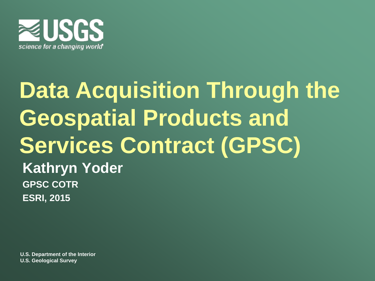

## **Data Acquisition Through the Geospatial Products and Services Contract (GPSC) Kathryn Yoder GPSC COTR ESRI, 2015**

**U.S. Department of the Interior U.S. Geological Survey**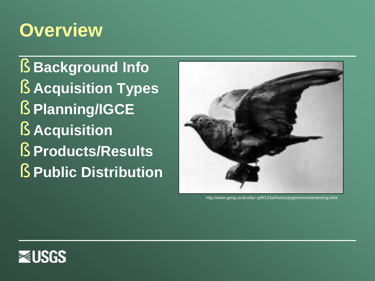### **Overview**

§ **Background Info** § **Acquisition Types** § **Planning/IGCE** § **Acquisition** § **Products/Results** § **Public Distribution**



http://www.geog.ucsb.edu/~jeff/115a/history/pigeonremotesensing.html

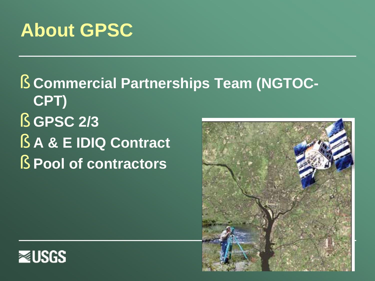## **About GPSC**

§ **Commercial Partnerships Team (NGTOC-CPT)** § **GPSC 2/3** § **A & E IDIQ Contract** § **Pool of contractors** 



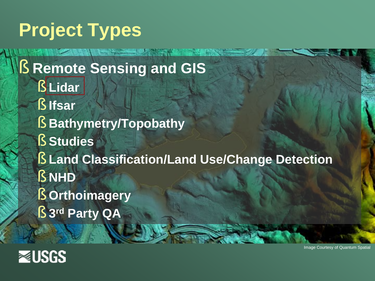# **Project Types**

§ **Remote Sensing and GIS** § **Lidar** § **Ifsar** § **Bathymetry/Topobathy** § **Studies** § **Land Classification/Land Use/Change Detection** § **NHD**  § **Orthoimagery** § **3rd Party QA**



Image Courtesy of Quantum Spatial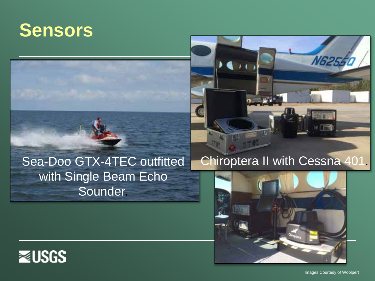#### **Sensors**





### with Single Beam Echo **Sounder**





Images Courtesy of Woolpert

**N625**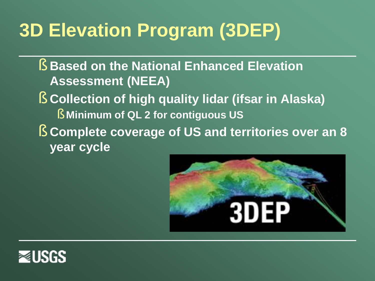# **3D Elevation Program (3DEP)**

- § **Based on the National Enhanced Elevation Assessment (NEEA)**
- § **Collection of high quality lidar (ifsar in Alaska)**
	- § **Minimum of QL 2 for contiguous US**
- § **Complete coverage of US and territories over an 8 year cycle**



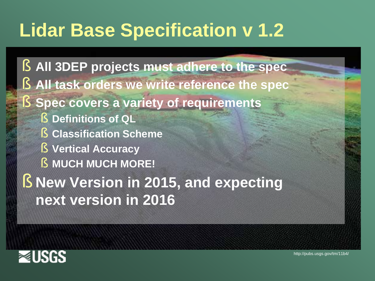## **Lidar Base Specification v 1.2**

§ **All 3DEP projects must adhere to the spec** § **All task orders we write reference the spec** § **Spec covers a variety of requirements** § **Definitions of QL** § **Classification Scheme** § **Vertical Accuracy** § **MUCH MUCH MORE!**  § **New Version in 2015, and expecting next version in 2016**



http://pubs.usgs.gov/tm/11b4/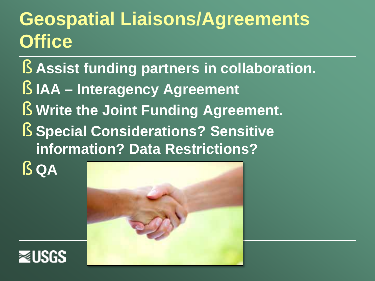## **Geospatial Liaisons/Agreements Office**

- § **Assist funding partners in collaboration.**
- § **IAA – Interagency Agreement**
- § **Write the Joint Funding Agreement.**
- § **Special Considerations? Sensitive information? Data Restrictions?**
- § **QA**



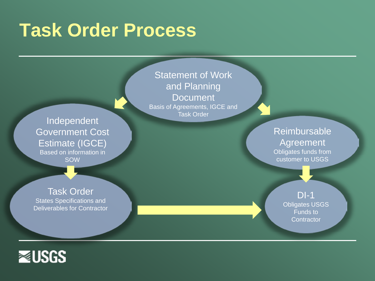#### **Task Order Process**

**Statement of Work** and Planning **Document** Basis of Agreements, IGCE and Task Order

Independent Government Cost Estimate (IGCE) Based on information in SOW

Reimbursable Agreement Obligates funds from customer to USGS

> DI-1 Obligates USGS Funds to **Contractor**

Task Order States Specifications and Deliverables for Contractor

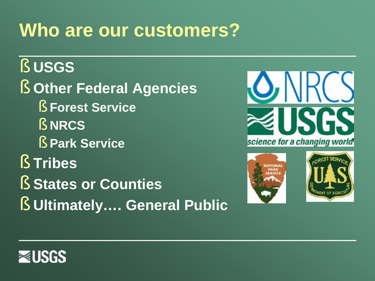### **Who are our customers?**

#### § **USGS**

§ **Other Federal Agencies** § **Forest Service** § **NRCS** § **Park Service** § **Tribes**

§ **States or Counties**

§ **Ultimately…. General Public**







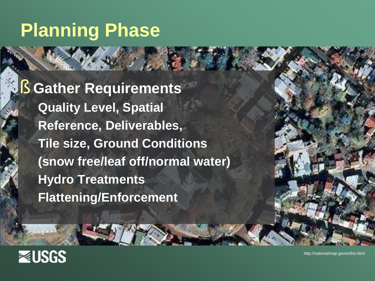### **Planning Phase**

§ **Gather Requirements Quality Level, Spatial Reference, Deliverables, Tile size, Ground Conditions (snow free/leaf off/normal water) Hydro Treatments Flattening/Enforcement**



http://nationalmap.gov/ortho.html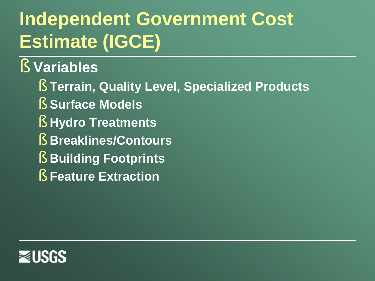# **Independent Government Cost Estimate (IGCE)**

#### § **Variables**

- § **Terrain, Quality Level, Specialized Products**
- § **Surface Models**
- § **Hydro Treatments**
- § **Breaklines/Contours**
- § **Building Footprints**
- § **Feature Extraction**

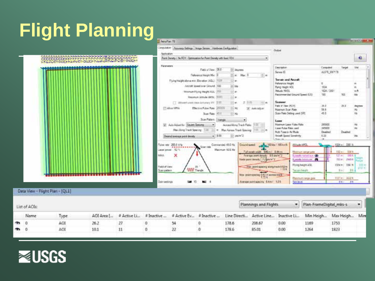# **Flight Planning**

| Computer Apparent Satings   Image Sense   Hambure Cenfigurator<br>Outset<br><b>Application</b><br>CODED DANA LA MARTIN HANNA A GOOGOOGOOF<br>Fort Donety / N.FOV. Optimization for Point Density with food FDV.<br>$\left( \frac{1}{2} \right)$<br>Parsmaters<br>Elektriston<br>Computed<br>Feli o'Ver, 251<br>12 degrees<br>ALS/6 DIFF/78<br>Sansor ID<br>$2e$ Mac $3$<br>Flaterance Haight Mar. D<br>(F) m<br>Temper and Ancoralt<br>記事<br>Flying Forght alleve min. Elevation (AGC): [TILIT<br>Feliverica Height<br>10 km<br>Aniret Speed over Ground, 100<br>Flynp Heart AOL<br>1054<br>1024./3001<br><b>Mitsube MATE</b><br>Wesman Klung Height AGC 1777<br>in an<br>Faconmanded Ground Speed KrSI-<br>100<br>Necesum Jathulie GMSC (ROT)<br>21 m<br>Scower<br>□ Silboard when main Schulary XC 百世<br>旧典<br>土耳斯<br>$-111$ eli<br>Field if View PCVI.<br>35.0<br>15-1 Mi<br><b>TT Afric VPIA</b><br>Film tive Fulse Rate: 202021<br>To Auto Adjust<br>56.6<br>Maximum Scan Rate<br>Scan Rate Setting used (SR)<br>45.2<br>Scal Rate: KST<br>$-$ Hz<br>Sun Faten: Diarge<br>Losse<br>201202<br>U. Asia Adventur. Square Specing-<br>Maxmum Laser Pulse Rate<br>Automobilizing Track Fields 11 III 11<br>æ.<br>Lisser Fulse Foor Lead<br>385000<br>Max-Nong Track Spacing: 1399<br>Max Aprove Track Spacing 1978. 101 m<br>350 m<br>Multi Pulse in Ar Mude<br>Disabled<br>$-130$<br>Di pain'2<br>Aroult Speed Sanathrhy<br>8.33<br>Desert average print density<br>$2 - 16$<br>Guard speed Art (SCAn / Milcok<br>Conversional 43.0 Hz<br><b>ANIMAL AMS</b><br>2051 WM<br>Fulne reter<br>Silver right<br><br>Maximum 16.6 Hz<br>Laser power 121%<br>Full seath width CALm I CALms<br><b><i><u>Mastrum serge gela</u></i></b><br>×<br><b>NPVL</b><br>Average point dorpsty 109 plaint 2<br>Go was taken shaped<br>fuels pore descript 7.2 grain 2<br>Fyester International A<br>Fitzung Insight AGIL<br>Field of View<br>33<br>Van pontaganny slong tack 0.52m<br>WW Trangle<br>Doen padere<br>Teoretic Feight<br>has paintapiding 0.53 el acetas track<br><b>National renge gent</b><br>Oain petings<br>Average point againing S.Am.F. 12/1<br>T5<br>. .<br><b>Sala Jawa</b><br><b>Cold</b><br>Data View - Flight Plan - [QL1]<br>Plan-FrameDigital_mks-s<br>Plannings and Flights<br>۰<br>List of AOIs:<br>Name<br>AOI Area [<br># Active Li<br># Inactive<br># Active Ev.,. # Inactive<br>Line Directi<br>Inactive Li<br>Active Line<br>Min Heigh<br>Type<br>ACA<br>26.2<br>27<br>o<br>54<br>0<br>178.6<br>0.00<br>1169<br>1753<br>208.67<br>o<br>22<br>0<br>178.6<br>1823 | <b>Milled Famous</b>                  |                                                                                 |      |      |       |  | G Amultan 70 |    |      |     |            |  |
|-------------------------------------------------------------------------------------------------------------------------------------------------------------------------------------------------------------------------------------------------------------------------------------------------------------------------------------------------------------------------------------------------------------------------------------------------------------------------------------------------------------------------------------------------------------------------------------------------------------------------------------------------------------------------------------------------------------------------------------------------------------------------------------------------------------------------------------------------------------------------------------------------------------------------------------------------------------------------------------------------------------------------------------------------------------------------------------------------------------------------------------------------------------------------------------------------------------------------------------------------------------------------------------------------------------------------------------------------------------------------------------------------------------------------------------------------------------------------------------------------------------------------------------------------------------------------------------------------------------------------------------------------------------------------------------------------------------------------------------------------------------------------------------------------------------------------------------------------------------------------------------------------------------------------------------------------------------------------------------------------------------------------------------------------------------------------------------------------------------------------------------------------------------------------------------------------------------------------------------------------------------------------------------------------------------------------------------------------------------------------------------------------------------------------------------------------------------------------------------------------------------------------------------------------------------------------------|---------------------------------------|---------------------------------------------------------------------------------|------|------|-------|--|--------------|----|------|-----|------------|--|
|                                                                                                                                                                                                                                                                                                                                                                                                                                                                                                                                                                                                                                                                                                                                                                                                                                                                                                                                                                                                                                                                                                                                                                                                                                                                                                                                                                                                                                                                                                                                                                                                                                                                                                                                                                                                                                                                                                                                                                                                                                                                                                                                                                                                                                                                                                                                                                                                                                                                                                                                                                               |                                       |                                                                                 |      |      |       |  |              |    |      |     |            |  |
|                                                                                                                                                                                                                                                                                                                                                                                                                                                                                                                                                                                                                                                                                                                                                                                                                                                                                                                                                                                                                                                                                                                                                                                                                                                                                                                                                                                                                                                                                                                                                                                                                                                                                                                                                                                                                                                                                                                                                                                                                                                                                                                                                                                                                                                                                                                                                                                                                                                                                                                                                                               | ٠                                     |                                                                                 |      |      |       |  |              |    |      |     |            |  |
|                                                                                                                                                                                                                                                                                                                                                                                                                                                                                                                                                                                                                                                                                                                                                                                                                                                                                                                                                                                                                                                                                                                                                                                                                                                                                                                                                                                                                                                                                                                                                                                                                                                                                                                                                                                                                                                                                                                                                                                                                                                                                                                                                                                                                                                                                                                                                                                                                                                                                                                                                                               | Itel                                  | Tarpet                                                                          |      |      |       |  |              |    |      |     |            |  |
|                                                                                                                                                                                                                                                                                                                                                                                                                                                                                                                                                                                                                                                                                                                                                                                                                                                                                                                                                                                                                                                                                                                                                                                                                                                                                                                                                                                                                                                                                                                                                                                                                                                                                                                                                                                                                                                                                                                                                                                                                                                                                                                                                                                                                                                                                                                                                                                                                                                                                                                                                                               | $\rightarrow$<br>$m$ ft.<br>ida       | YOC                                                                             |      |      |       |  |              |    |      |     |            |  |
|                                                                                                                                                                                                                                                                                                                                                                                                                                                                                                                                                                                                                                                                                                                                                                                                                                                                                                                                                                                                                                                                                                                                                                                                                                                                                                                                                                                                                                                                                                                                                                                                                                                                                                                                                                                                                                                                                                                                                                                                                                                                                                                                                                                                                                                                                                                                                                                                                                                                                                                                                                               | <b>Pagrams</b><br>敝<br>1b             | 78.3                                                                            |      |      |       |  |              |    |      |     |            |  |
|                                                                                                                                                                                                                                                                                                                                                                                                                                                                                                                                                                                                                                                                                                                                                                                                                                                                                                                                                                                                                                                                                                                                                                                                                                                                                                                                                                                                                                                                                                                                                                                                                                                                                                                                                                                                                                                                                                                                                                                                                                                                                                                                                                                                                                                                                                                                                                                                                                                                                                                                                                               | ₩<br><b>He</b><br>irts                | Dividind                                                                        |      |      |       |  |              |    |      |     |            |  |
|                                                                                                                                                                                                                                                                                                                                                                                                                                                                                                                                                                                                                                                                                                                                                                                                                                                                                                                                                                                                                                                                                                                                                                                                                                                                                                                                                                                                                                                                                                                                                                                                                                                                                                                                                                                                                                                                                                                                                                                                                                                                                                                                                                                                                                                                                                                                                                                                                                                                                                                                                                               | 1004 m 1041 x 117 m<br>$2214 +$<br>11 | 1024 mil. 2361.8<br>102 m E 100 h<br>$35m - 39344$<br><b>MINI- JMNY</b><br>In I |      |      |       |  |              |    |      |     |            |  |
|                                                                                                                                                                                                                                                                                                                                                                                                                                                                                                                                                                                                                                                                                                                                                                                                                                                                                                                                                                                                                                                                                                                                                                                                                                                                                                                                                                                                                                                                                                                                                                                                                                                                                                                                                                                                                                                                                                                                                                                                                                                                                                                                                                                                                                                                                                                                                                                                                                                                                                                                                                               | 188                                   | 1127 m 341214<br>84.7                                                           |      |      |       |  |              |    |      |     |            |  |
|                                                                                                                                                                                                                                                                                                                                                                                                                                                                                                                                                                                                                                                                                                                                                                                                                                                                                                                                                                                                                                                                                                                                                                                                                                                                                                                                                                                                                                                                                                                                                                                                                                                                                                                                                                                                                                                                                                                                                                                                                                                                                                                                                                                                                                                                                                                                                                                                                                                                                                                                                                               | ٠                                     |                                                                                 |      |      |       |  |              |    |      |     |            |  |
|                                                                                                                                                                                                                                                                                                                                                                                                                                                                                                                                                                                                                                                                                                                                                                                                                                                                                                                                                                                                                                                                                                                                                                                                                                                                                                                                                                                                                                                                                                                                                                                                                                                                                                                                                                                                                                                                                                                                                                                                                                                                                                                                                                                                                                                                                                                                                                                                                                                                                                                                                                               | Mire                                  | Max Heigh                                                                       |      |      |       |  |              |    |      |     |            |  |
|                                                                                                                                                                                                                                                                                                                                                                                                                                                                                                                                                                                                                                                                                                                                                                                                                                                                                                                                                                                                                                                                                                                                                                                                                                                                                                                                                                                                                                                                                                                                                                                                                                                                                                                                                                                                                                                                                                                                                                                                                                                                                                                                                                                                                                                                                                                                                                                                                                                                                                                                                                               |                                       |                                                                                 | 1264 | 0.00 | 85.01 |  | ä            | 11 | 10.1 | AOI | $^{\circ}$ |  |

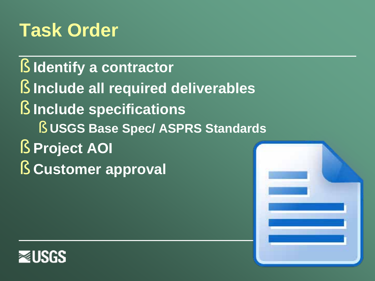## **Task Order**

- § **Identify a contractor**
- § **Include all required deliverables**
- § **Include specifications** 
	- § **USGS Base Spec/ ASPRS Standards**
- § **Project AOI**
- § **Customer approval**



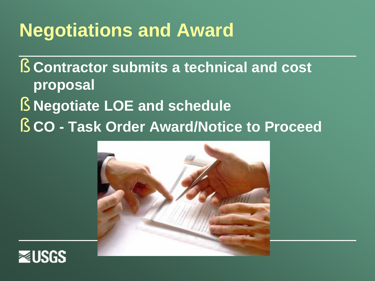## **Negotiations and Award**

§ **Contractor submits a technical and cost proposal** § **Negotiate LOE and schedule**  § **CO - Task Order Award/Notice to Proceed** 



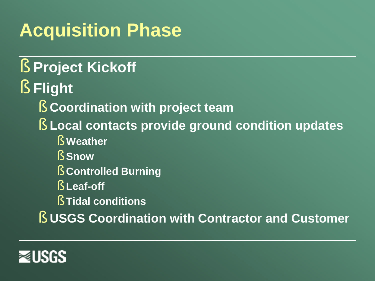# **Acquisition Phase**

## § **Project Kickoff**

- § **Flight** 
	- § **Coordination with project team**
	- § **Local contacts provide ground condition updates**
		- § **Weather**
		- § **Snow**
		- § **Controlled Burning**
		- § **Leaf-off**
		- § **Tidal conditions**

§ **USGS Coordination with Contractor and Customer**

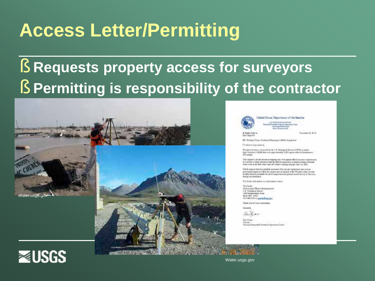## **Access Letter/Permitting**

#### § **Requests property access for surveyors** § **Permitting is responsibility of the contractor**





United States Deputtment of the Interior. U.S. GROUNDED & EUROPE spide Submit Sections (non<br>Antonio View<br>Subs Moscowers

Sources 31, 50 k

BE Nordon Rose, Surfaced Memorine LEAR, Arguerine

To whole it may concern.

Antilling 470

Walger for him convent by No. 1.3. Danings of Survey (1983) a about by timelation LISAE data one approximately 4,500 square editor is Standardised.

The regional Littraff attractive magazing busy with a growth DISCS/he costs in publishes as A 3- centers to recent to the security of the first to accent a discussion of the second twist with a the Mit move buil off models names (lesign fund 11, 2013)

1-503 reports that will previole automobilizer private backers and somepermission against a disc the ansatz was in governline the Worldon coast in index is after than to semplate the party angers to a set general association by of the super doing the brachers

For forbet and maximize conferential contact

To a hacks OncorregidSocy Renewance U.S. Geobana Barver 1 Mint Anatomy Stress Street Write MAX, scribit 651-144-1770 or tax holisan and

Their you for trap promotive

**Linearth** 

Kentin

Kai Com Printed May **Salemal Elementhal Technical Operations Contact** 

**≋USGS** 

Water.usgs.gov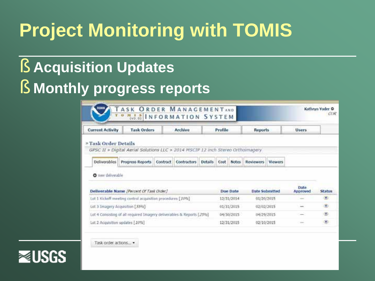# **Project Monitoring with TOMIS**

#### § **Acquisition Updates**

#### § **Monthly progress reports**

| noes                                                                  | TASK ORDER MANAGEMENTAND<br><b>OMIBINFORMATION SYSTEM</b>                       |                 |             |                |                |                                   |                  |                |                  | Kathryn Yoder O<br><b>CCM</b> |
|-----------------------------------------------------------------------|---------------------------------------------------------------------------------|-----------------|-------------|----------------|----------------|-----------------------------------|------------------|----------------|------------------|-------------------------------|
| <b>Current Activity</b>                                               | <b>Task Orders</b><br><b>Archive</b>                                            |                 |             |                | <b>Profile</b> |                                   | Reports          |                | Users.           |                               |
| » Task Order Details                                                  | GPSC II > Digital Aerial Solutions LLC > 2014 MSCIP 12 inch Stereo Orthoimagery |                 |             |                |                |                                   |                  |                |                  |                               |
| Deliverables                                                          | <b>Progress Reports</b>                                                         | <b>Contract</b> | Contractors | <b>Details</b> | Cost           | Notes                             | <b>Reviewers</b> | <b>Viewers</b> |                  |                               |
| O new deliverable                                                     |                                                                                 |                 |             |                |                |                                   |                  |                |                  |                               |
| Deliverable Name (Percent Of Task Order)                              |                                                                                 |                 |             |                |                | <b>Date Submitted</b><br>Due Date |                  |                | Data<br>Approved | <b>Status</b>                 |
| Lot 1 Kickoff meeting control acquisition procedures [10%]            |                                                                                 |                 |             |                |                | 12/31/2014<br>01/20/2015          |                  |                |                  | œ                             |
| Lot 3 Emagery Acquisition [55%]                                       |                                                                                 |                 |             |                | 01/31/2015     |                                   | 02/02/2015       |                | ÷                | $\circ$                       |
| Lot 4 Consisting of all required Imagery deliverables & Reports [25%] |                                                                                 |                 |             |                | 04/30/2015     |                                   | 04/29/2015       |                |                  | Ð                             |
| Lot 2 Acquisition updates [ 10%]                                      |                                                                                 |                 |             |                |                | 12/31/2015                        |                  | 02/10/2015     |                  | ×                             |

Task order actions...

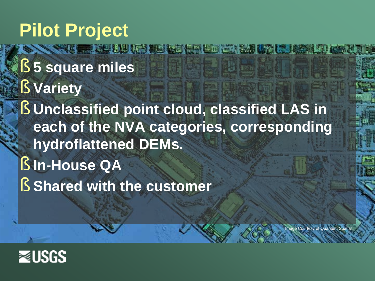#### **Pilot Project**

§ **5 square miles**  § **Variety** § **Unclassified point cloud, classified LAS in each of the NVA categories, corresponding hydroflattened DEMs.**  § **In-House QA** § **Shared with the customer**

age Courtesy of Quantum Spatial

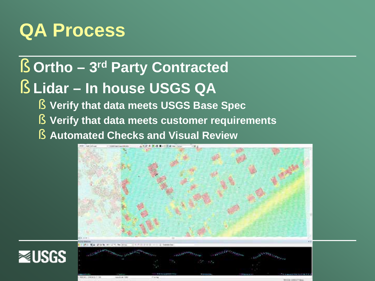## **QA Process**

#### § **Ortho – 3rd Party Contracted**

#### § **Lidar – In house USGS QA**

- § **Verify that data meets USGS Base Spec**
- § **Verify that data meets customer requirements**
- § **Automated Checks and Visual Review**





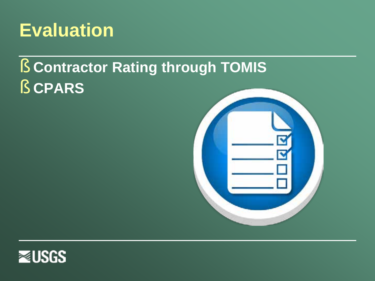

#### § **Contractor Rating through TOMIS** § **CPARS**



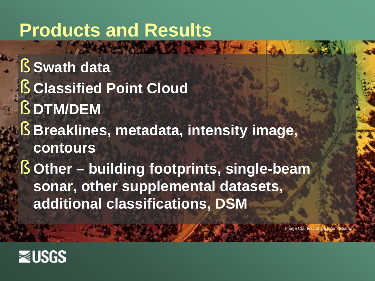### **Products and Results**

§ **Swath data** § **Classified Point Cloud** § **DTM/DEM** § **Breaklines, metadata, intensity image, contours** § **Other – building footprints, single-beam sonar, other supplemental datasets, additional classifications, DSM**

**Image Courtesy of Quantum Spatial** 

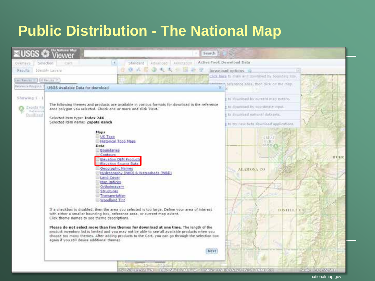#### **Public Distribution - The National Map**

| The Matianal Mag<br><b>⊠USGS</b><br>ewer                                                                                                                                                                                                                                                                                                                                                  | Search                                                                                                                                                                                                                                                                                                                                                                                                                                                                                               |                                                                                               |
|-------------------------------------------------------------------------------------------------------------------------------------------------------------------------------------------------------------------------------------------------------------------------------------------------------------------------------------------------------------------------------------------|------------------------------------------------------------------------------------------------------------------------------------------------------------------------------------------------------------------------------------------------------------------------------------------------------------------------------------------------------------------------------------------------------------------------------------------------------------------------------------------------------|-----------------------------------------------------------------------------------------------|
| Selection<br><b><i>HOME</i></b><br>Overlays-                                                                                                                                                                                                                                                                                                                                              | Active Tool: Download Data<br>Advanced Annotation<br>Standard                                                                                                                                                                                                                                                                                                                                                                                                                                        |                                                                                               |
| (dentify Layers)<br>Repulto                                                                                                                                                                                                                                                                                                                                                               | <b>10 av 10</b><br>(取消) 也以前                                                                                                                                                                                                                                                                                                                                                                                                                                                                          | Download options<br>1 Eats                                                                    |
| Last Renchs = 1 (3) Kenyler X-                                                                                                                                                                                                                                                                                                                                                            |                                                                                                                                                                                                                                                                                                                                                                                                                                                                                                      | Click have to draw and download by bounding hits.                                             |
| <b>Rafarence Polypoids</b><br>USGS Available Data for download                                                                                                                                                                                                                                                                                                                            | 其                                                                                                                                                                                                                                                                                                                                                                                                                                                                                                    | the same reference area, then click on the map.                                               |
| $Shurwing 1-1$                                                                                                                                                                                                                                                                                                                                                                            |                                                                                                                                                                                                                                                                                                                                                                                                                                                                                                      | to download by current map extent.                                                            |
| Zepista Ra<br>area polygon you selected. Check one or more and click 'Next.'                                                                                                                                                                                                                                                                                                              | The following themes and products are available in various formats for download in the reference                                                                                                                                                                                                                                                                                                                                                                                                     | to downnaad by coordinate input.                                                              |
| Baltereni<br>Dumilling<br>Selected item type: Index 24K                                                                                                                                                                                                                                                                                                                                   |                                                                                                                                                                                                                                                                                                                                                                                                                                                                                                      | to download midional datasets                                                                 |
| Selected item name: Zapata Ranch                                                                                                                                                                                                                                                                                                                                                          |                                                                                                                                                                                                                                                                                                                                                                                                                                                                                                      | to by new beta download applications.                                                         |
| <b>Maps</b><br>US Topo<br>Historical Topo Maps<br>Data<br><b>Boundaries</b><br>Geographic Names<br><b>Land Cover</b><br><b>Map Indices</b><br>Ortholmagery<br>Structures<br>Transportation<br>Woodland Tint<br>with either a smaller bounding box, reference area, or current map extent.<br>Click theme names to see theme descriptions.<br>again if you still desire additional themes. | Elevation DEM Products<br>Flevaline Source Data<br>Hydrography (NHD) & Watersheds (WBD)<br>If a checkbox is disabled, then the area you selected is too large. Define your area of interest<br>Please do not select more than five themes for download at one time. The length of the<br>product inventory list is limited and you may not be able to see all available products when you<br>choose too many themes. After adding products to the Cart, you can go through the selection box<br>Next | <b>GREAT</b><br>$-1301$<br>E+17505<br><b>BUILE</b><br><b>ALAMOKA CO</b><br><b>COSTILLA CO</b> |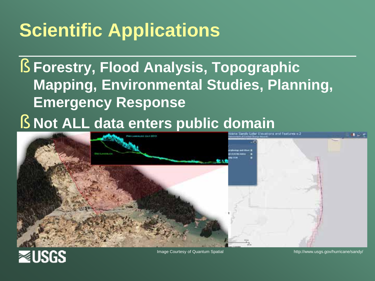# **Scientific Applications**

§ **Forestry, Flood Analysis, Topographic Mapping, Environmental Studies, Planning, Emergency Response**

§ **Not ALL data enters public domain**





Image Courtesy of Quantum Spatial http://www.usgs.gov/hurricane/sandy/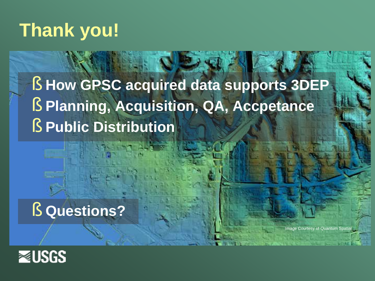### **Thank you!**

#### § **How GPSC acquired data supports 3DEP** § **Planning, Acquisition, QA, Accpetance** § **Public Distribution**

#### § **Questions?**

**Image Courtesy of Quantum Spatial**